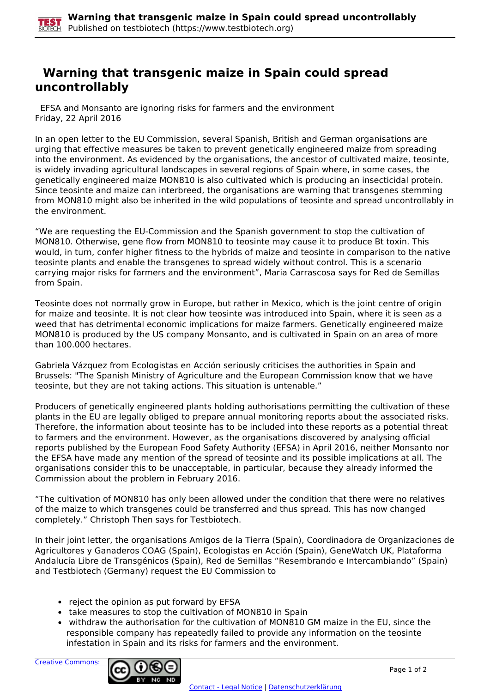## **Warning that transgenic maize in Spain could spread uncontrollably**

 EFSA and Monsanto are ignoring risks for farmers and the environment Friday, 22 April 2016

In an open letter to the EU Commission, several Spanish, British and German organisations are urging that effective measures be taken to prevent genetically engineered maize from spreading into the environment. As evidenced by the organisations, the ancestor of cultivated maize, teosinte, is widely invading agricultural landscapes in several regions of Spain where, in some cases, the genetically engineered maize MON810 is also cultivated which is producing an insecticidal protein. Since teosinte and maize can interbreed, the organisations are warning that transgenes stemming from MON810 might also be inherited in the wild populations of teosinte and spread uncontrollably in the environment.

"We are requesting the EU-Commission and the Spanish government to stop the cultivation of MON810. Otherwise, gene flow from MON810 to teosinte may cause it to produce Bt toxin. This would, in turn, confer higher fitness to the hybrids of maize and teosinte in comparison to the native teosinte plants and enable the transgenes to spread widely without control. This is a scenario carrying major risks for farmers and the environment", Maria Carrascosa says for Red de Semillas from Spain.

Teosinte does not normally grow in Europe, but rather in Mexico, which is the joint centre of origin for maize and teosinte. It is not clear how teosinte was introduced into Spain, where it is seen as a weed that has detrimental economic implications for maize farmers. Genetically engineered maize MON810 is produced by the US company Monsanto, and is cultivated in Spain on an area of more than 100.000 hectares.

Gabriela Vázquez from Ecologistas en Acción seriously criticises the authorities in Spain and Brussels: "The Spanish Ministry of Agriculture and the European Commission know that we have teosinte, but they are not taking actions. This situation is untenable."

Producers of genetically engineered plants holding authorisations permitting the cultivation of these plants in the EU are legally obliged to prepare annual monitoring reports about the associated risks. Therefore, the information about teosinte has to be included into these reports as a potential threat to farmers and the environment. However, as the organisations discovered by analysing official reports published by the European Food Safety Authority (EFSA) in April 2016, neither Monsanto nor the EFSA have made any mention of the spread of teosinte and its possible implications at all. The organisations consider this to be unacceptable, in particular, because they already informed the Commission about the problem in February 2016.

"The cultivation of MON810 has only been allowed under the condition that there were no relatives of the maize to which transgenes could be transferred and thus spread. This has now changed completely." Christoph Then says for Testbiotech.

In their joint letter, the organisations Amigos de la Tierra (Spain), Coordinadora de Organizaciones de Agricultores y Ganaderos COAG (Spain), Ecologistas en Acción (Spain), GeneWatch UK, Plataforma Andalucía Libre de Transgénicos (Spain), Red de Semillas "Resembrando e Intercambiando" (Spain) and Testbiotech (Germany) request the EU Commission to

- reject the opinion as put forward by EFSA
- take measures to stop the cultivation of MON810 in Spain
- withdraw the authorisation for the cultivation of MON810 GM maize in the EU, since the responsible company has repeatedly failed to provide any information on the teosinte infestation in Spain and its risks for farmers and the environment.